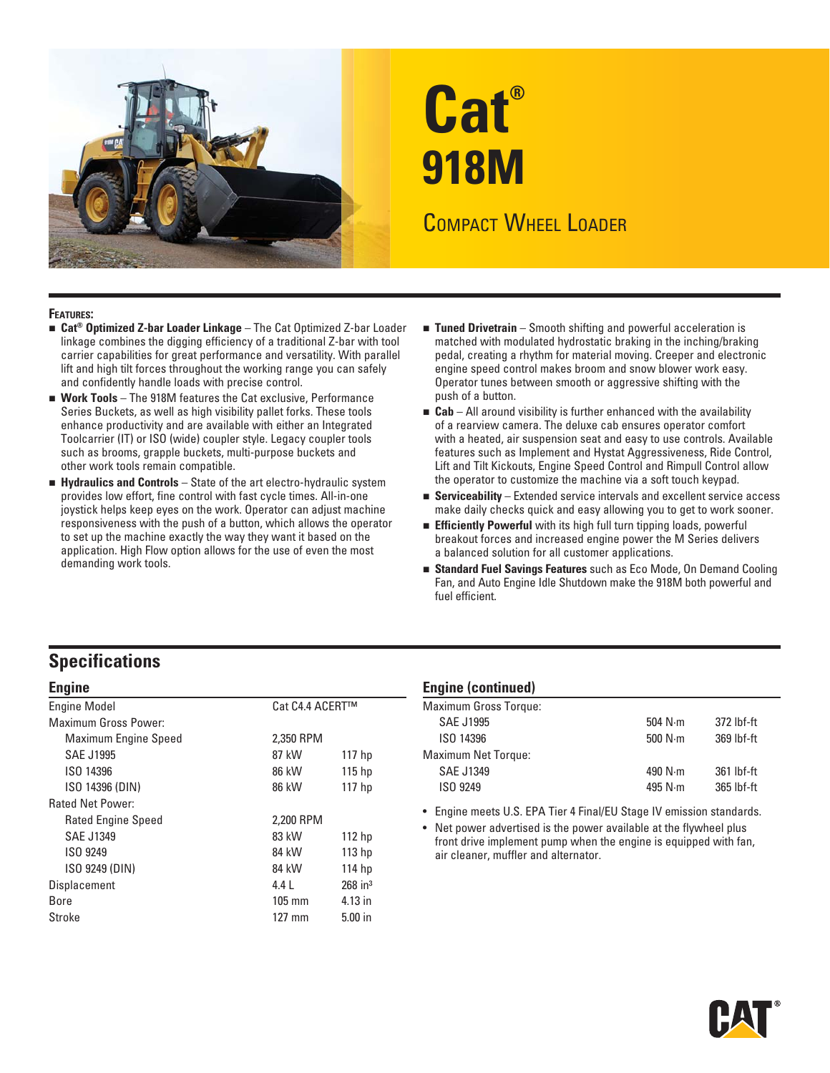

# **Cat® 918M**  COMPACT WHEEL LOADER

- **Cat® Optimized Z-bar Loader Linkage** The Cat Optimized Z-bar Loader **FEATURES:**  linkage combines the digging efficiency of a traditional Z-bar with tool carrier capabilities for great performance and versatility. With parallel lift and high tilt forces throughout the working range you can safely and confidently handle loads with precise control.
- **Work Tools** The 918M features the Cat exclusive, Performance Series Buckets, as well as high visibility pallet forks. These tools enhance productivity and are available with either an Integrated Toolcarrier (IT) or ISO (wide) coupler style. Legacy coupler tools such as brooms, grapple buckets, multi-purpose buckets and other work tools remain compatible.
- **Hydraulics and Controls**  State of the art electro-hydraulic system provides low effort, fine control with fast cycle times. All-in-one joystick helps keep eyes on the work. Operator can adjust machine responsiveness with the push of a button, which allows the operator to set up the machine exactly the way they want it based on the application. High Flow option allows for the use of even the most demanding work tools.
- **Tuned Drivetrain**  Smooth shifting and powerful acceleration is matched with modulated hydrostatic braking in the inching/braking pedal, creating a rhythm for material moving. Creeper and electronic engine speed control makes broom and snow blower work easy. Operator tunes between smooth or aggressive shifting with the push of a button.
- **Cab**  All around visibility is further enhanced with the availability of a rearview camera. The deluxe cab ensures operator comfort with a heated, air suspension seat and easy to use controls. Available features such as Implement and Hystat Aggressiveness, Ride Control, Lift and Tilt Kickouts, Engine Speed Control and Rimpull Control allow the operator to customize the machine via a soft touch keypad.
- **Serviceability**  Extended service intervals and excellent service access make daily checks quick and easy allowing you to get to work sooner.
- **Efficiently Powerful** with its high full turn tipping loads, powerful breakout forces and increased engine power the M Series delivers a balanced solution for all customer applications.
- **Standard Fuel Savings Features** such as Eco Mode, On Demand Cooling Fan, and Auto Engine Idle Shutdown make the 918M both powerful and fuel efficient.

## **Specifications**

| <b>Engine Model</b>         | Cat C4.4 ACERT™ |                       |
|-----------------------------|-----------------|-----------------------|
| <b>Maximum Gross Power:</b> |                 |                       |
| Maximum Engine Speed        | 2.350 RPM       |                       |
| <b>SAE J1995</b>            | 87 kW           | 117 <sub>hp</sub>     |
| ISO 14396                   | 86 kW           | 115 <sub>hp</sub>     |
| ISO 14396 (DIN)             | 86 kW           | 117 hp                |
| <b>Rated Net Power:</b>     |                 |                       |
| <b>Rated Engine Speed</b>   | 2,200 RPM       |                       |
| SAE J1349                   | 83 kW           | 112 <sub>hp</sub>     |
| ISO 9249                    | 84 kW           | 113 <sub>hp</sub>     |
| ISO 9249 (DIN)              | 84 kW           | 114 hp                |
| Displacement                | $4.4 \;$        | $268$ in <sup>3</sup> |
| Bore                        | $105$ mm        | 4.13 in               |
| Stroke                      | 127 mm          | $5.00$ in             |

#### **Engine Engine (continued)**

| <b>Maximum Gross Torque:</b> |                 |            |
|------------------------------|-----------------|------------|
| <b>SAE J1995</b>             | 504 $N \cdot m$ | 372 lbf-ft |
| ISO 14396                    | 500 $N \cdot m$ | 369 lbf-ft |
| <b>Maximum Net Torque:</b>   |                 |            |
| <b>SAE J1349</b>             | 490 $N \cdot m$ | 361 lbf-ft |
| ISO 9249                     | 495 $N \cdot m$ | 365 lbf-ft |
|                              |                 |            |

• Engine meets U.S. EPA Tier 4 Final/EU Stage IV emission standards.

• Net power advertised is the power available at the flywheel plus front drive implement pump when the engine is equipped with fan, air cleaner, muffler and alternator.

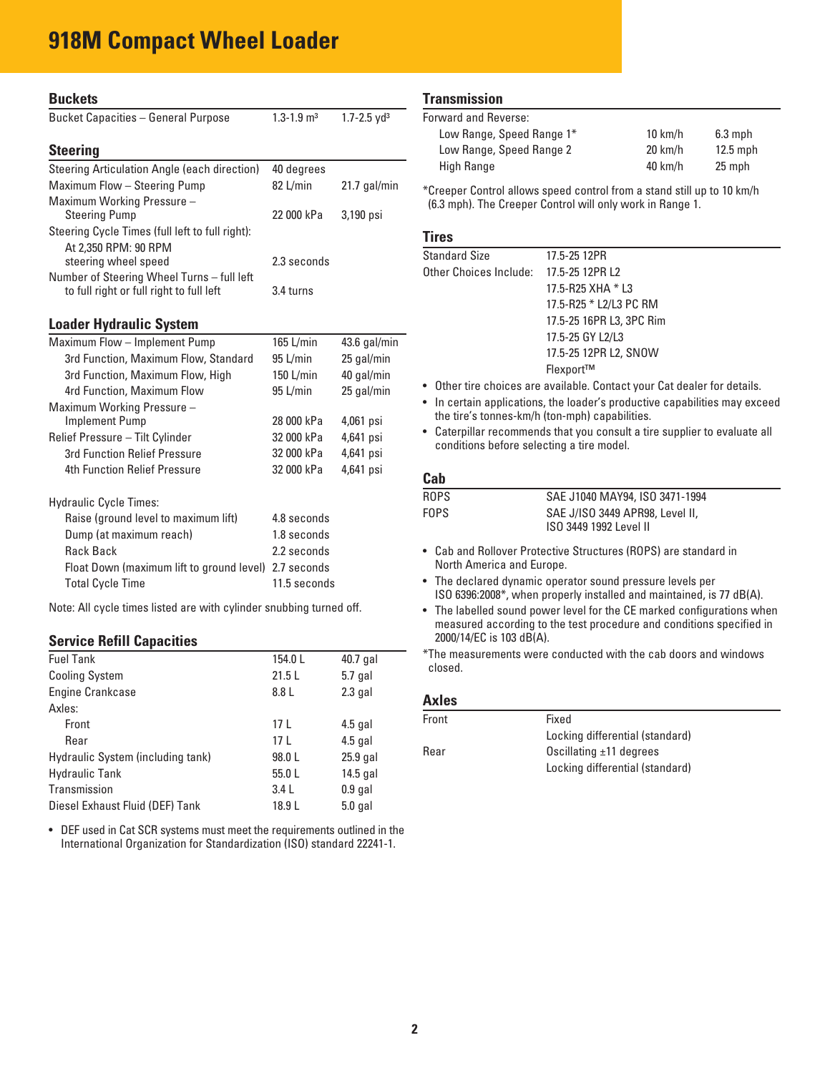# **918M Compact Wheel Loader**

| <b>Buckets</b>                                                                         |                            |                             |  |
|----------------------------------------------------------------------------------------|----------------------------|-----------------------------|--|
| <b>Bucket Capacities - General Purpose</b>                                             | $1.3 - 1.9$ m <sup>3</sup> | $1.7 - 2.5$ yd <sup>3</sup> |  |
| <b>Steering</b>                                                                        |                            |                             |  |
| Steering Articulation Angle (each direction)                                           | 40 degrees                 |                             |  |
| Maximum Flow - Steering Pump                                                           | 82 L/min                   | $21.7$ gal/min              |  |
| Maximum Working Pressure -                                                             |                            |                             |  |
| <b>Steering Pump</b>                                                                   | 22 000 kPa                 | 3,190 psi                   |  |
| Steering Cycle Times (full left to full right):                                        |                            |                             |  |
| At 2,350 RPM: 90 RPM                                                                   |                            |                             |  |
| steering wheel speed                                                                   | 2.3 seconds                |                             |  |
| Number of Steering Wheel Turns - full left<br>to full right or full right to full left | 3.4 turns                  |                             |  |
| <b>Loader Hydraulic System</b>                                                         |                            |                             |  |
| Maximum Flow - Implement Pump                                                          | 165 L/min                  | $43.6$ gal/min              |  |
| 3rd Function, Maximum Flow, Standard                                                   | 95 L/min                   | 25 gal/min                  |  |
| 3rd Function, Maximum Flow, High                                                       | $150$ L/min                | 40 gal/min                  |  |
| 4rd Function, Maximum Flow                                                             | $95$ L/min                 | 25 gal/min                  |  |
| Maximum Working Pressure -                                                             |                            |                             |  |
| <b>Implement Pump</b>                                                                  | 28 000 kPa                 | 4,061 psi                   |  |
| Relief Pressure - Tilt Cylinder                                                        | 32 000 kPa                 | 4,641 psi                   |  |
| 3rd Function Relief Pressure                                                           | 32 000 kPa                 | 4,641 psi                   |  |
| 4th Function Relief Pressure                                                           | 32 000 kPa                 | 4,641 psi                   |  |
| <b>Hydraulic Cycle Times:</b>                                                          |                            |                             |  |
| Raise (ground level to maximum lift)                                                   | 4.8 seconds                |                             |  |
| Dump (at maximum reach)                                                                | 1.8 seconds                |                             |  |
| <b>Rack Back</b>                                                                       | 2.2 seconds                |                             |  |
| Float Down (maximum lift to ground level)                                              | 2.7 seconds                |                             |  |
| <b>Total Cycle Time</b>                                                                | 11.5 seconds               |                             |  |
|                                                                                        |                            |                             |  |

Note: All cycle times listed are with cylinder snubbing turned off.

#### **Service Refill Capacities**

| <b>Fuel Tank</b>                  | 154.0L          | 40.7 gal  |
|-----------------------------------|-----------------|-----------|
| <b>Cooling System</b>             | 21.5L           | $5.7$ gal |
| Engine Crankcase                  | 8.8 L           | $2.3$ gal |
| Axles:                            |                 |           |
| Front                             | 17 <sub>L</sub> | $4.5$ gal |
| Rear                              | 17 <sub>L</sub> | $4.5$ gal |
| Hydraulic System (including tank) | 98.0L           | 25.9 gal  |
| <b>Hydraulic Tank</b>             | 55.0L           | 14.5 gal  |
| Transmission                      | 3.4L            | $0.9$ gal |
| Diesel Exhaust Fluid (DEF) Tank   | 18.9 L          | $5.0$ gal |
|                                   |                 |           |

 • DEF used in Cat SCR systems must meet the requirements outlined in the International Organization for Standardization (ISO) standard 22241-1.

#### **Transmission**

| Forward and Reverse:      |                   |            |
|---------------------------|-------------------|------------|
| Low Range, Speed Range 1* | $10 \text{ km/h}$ | $6.3$ mph  |
| Low Range, Speed Range 2  | $20 \text{ km/h}$ | $12.5$ mph |
| High Range                | $40 \text{ km/h}$ | 25 mph     |

\*Creeper Control allows speed control from a stand still up to 10 km/h (6.3 mph). The Creeper Control will only work in Range 1.

#### **Tires**

| <b>Standard Size</b>                   | 17.5-25 12PR             |
|----------------------------------------|--------------------------|
| Other Choices Include: 17.5-25 12PR L2 |                          |
|                                        | 17.5-R25 XHA $*$ L3      |
|                                        | 17.5-R25 * L2/L3 PC RM   |
|                                        | 17.5-25 16PR L3, 3PC Rim |
|                                        | 17.5-25 GY L2/L3         |
|                                        | 17.5-25 12PR L2, SNOW    |
|                                        | Flexport™                |
|                                        |                          |

• Other tire choices are available. Contact your Cat dealer for details.

• In certain applications, the loader's productive capabilities may exceed the tire's tonnes-km/h (ton-mph) capabilities.

• Caterpillar recommends that you consult a tire supplier to evaluate all conditions before selecting a tire model.

#### **Cab**

| ROPS  | SAE J1040 MAY94, ISO 3471-1994                            |  |
|-------|-----------------------------------------------------------|--|
| FOPS. | SAE J/ISO 3449 APR98, Level II,<br>ISO 3449 1992 Level II |  |

- Cab and Rollover Protective Structures (ROPS) are standard in North America and Europe.
- The declared dynamic operator sound pressure levels per ISO 6396:2008\*, when properly installed and maintained, is 77 dB(A).
- The labelled sound power level for the CE marked configurations when measured according to the test procedure and conditions specified in 2000/14/EC is 103 dB(A).

\*The measurements were conducted with the cab doors and windows closed.

#### **Axles**

| Front | Fixed                           |
|-------|---------------------------------|
|       | Locking differential (standard) |
| Rear  | Oscillating $\pm$ 11 degrees    |
|       | Locking differential (standard) |
|       |                                 |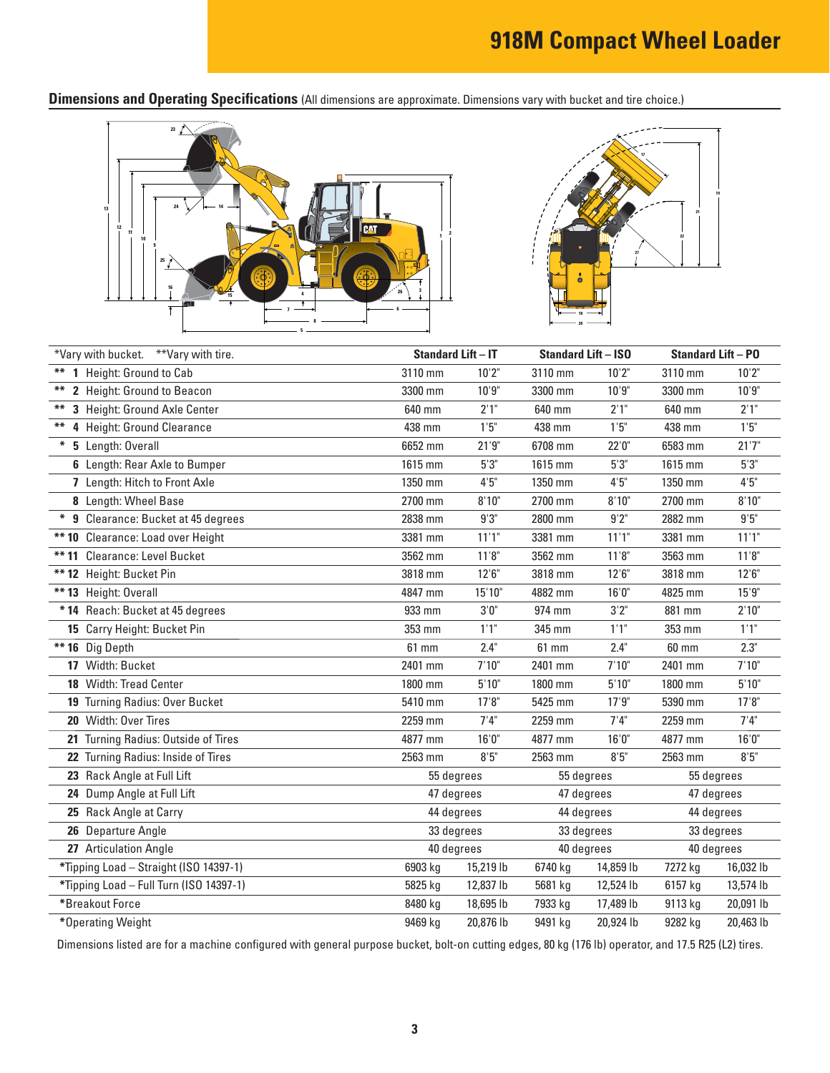**Dimensions and Operating Specifications** (All dimensions are approximate. Dimensions vary with bucket and tire choice.)





|        | *Vary with bucket. **Vary with tire.    | <b>Standard Lift - IT</b> |           | <b>Standard Lift - ISO</b> |           | <b>Standard Lift - PO</b> |           |
|--------|-----------------------------------------|---------------------------|-----------|----------------------------|-----------|---------------------------|-----------|
|        | ** 1 Height: Ground to Cab              | 3110 mm                   | 10'2"     | 3110 mm                    | 10'2"     | 3110 mm                   | 10'2"     |
| **     | 2 Height: Ground to Beacon              | 3300 mm                   | 10'9''    | 3300 mm                    | 10'9''    | 3300 mm                   | 10'9"     |
|        | 3 Height: Ground Axle Center            | 640 mm                    | 2'1"      | 640 mm                     | 2'1"      | 640 mm                    | 2'1"      |
| **     | 4 Height: Ground Clearance              | 438 mm                    | 1'5''     | 438 mm                     | 1'5''     | 438 mm                    | 1'5"      |
| $\ast$ | 5 Length: Overall                       | 6652 mm                   | 21'9''    | 6708 mm                    | 22'0''    | 6583 mm                   | 21'7''    |
|        | 6 Length: Rear Axle to Bumper           | 1615 mm                   | 5'3''     | 1615 mm                    | 5'3''     | 1615 mm                   | $5'3"$    |
|        | 7 Length: Hitch to Front Axle           | 1350 mm                   | 4'5''     | 1350 mm                    | 4'5''     | 1350 mm                   | 4'5''     |
|        | 8 Length: Wheel Base                    | 2700 mm                   | 8'10"     | 2700 mm                    | 8'10"     | 2700 mm                   | 8'10"     |
|        | * 9 Clearance: Bucket at 45 degrees     | 2838 mm                   | 9'3''     | 2800 mm                    | 9'2"      | 2882 mm                   | 9'5''     |
|        | ** 10 Clearance: Load over Height       | 3381 mm                   | 11'1"     | 3381 mm                    | 11'1"     | 3381 mm                   | 11'1"     |
|        | ** 11 Clearance: Level Bucket           | 3562 mm                   | 11'8"     | 3562 mm                    | 11'8"     | 3563 mm                   | 11'8"     |
|        | ** 12 Height: Bucket Pin                | 3818 mm                   | 12'6''    | 3818 mm                    | 12'6''    | 3818 mm                   | 12'6''    |
|        | ** 13 Height: Overall                   | 4847 mm                   | 15'10"    | 4882 mm                    | 16'0''    | 4825 mm                   | 15'9''    |
|        | * 14 Reach: Bucket at 45 degrees        | 933 mm                    | 3'0''     | 974 mm                     | 3'2''     | 881 mm                    | 2'10"     |
|        | 15 Carry Height: Bucket Pin             | 353 mm                    | 1'1"      | 345 mm                     | 1'1"      | 353 mm                    | 1'1"      |
|        | ** 16 Dig Depth                         | 61 mm                     | 2.4"      | 61 mm                      | 2.4"      | 60 mm                     | 2.3"      |
|        | 17 Width: Bucket                        | 2401 mm                   | 7'10"     | 2401 mm                    | 7'10''    | 2401 mm                   | 7'10''    |
|        | 18 Width: Tread Center                  | 1800 mm                   | 5'10''    | 1800 mm                    | 5'10''    | 1800 mm                   | 5'10''    |
|        | 19 Turning Radius: Over Bucket          | 5410 mm                   | 17'8"     | 5425 mm                    | 17'9''    | 5390 mm                   | 17'8''    |
|        | 20 Width: Over Tires                    | 2259 mm                   | 7'4''     | 2259 mm                    | 7'4''     | 2259 mm                   | 7'4''     |
|        | 21 Turning Radius: Outside of Tires     | 4877 mm                   | 16'0''    | 4877 mm                    | 16'0''    | 4877 mm                   | 16'0''    |
|        | 22 Turning Radius: Inside of Tires      | 2563 mm                   | 8'5''     | 2563 mm                    | 8'5''     | 2563 mm                   | 8'5''     |
|        | 23 Rack Angle at Full Lift              | 55 degrees                |           | 55 degrees                 |           | 55 degrees                |           |
|        | 24 Dump Angle at Full Lift              | 47 degrees                |           | 47 degrees                 |           | 47 degrees                |           |
|        | 25 Rack Angle at Carry                  | 44 degrees                |           | 44 degrees                 |           | 44 degrees                |           |
|        | 26 Departure Angle                      | 33 degrees                |           | 33 degrees                 |           | 33 degrees                |           |
|        | 27 Articulation Angle                   | 40 degrees                |           | 40 degrees                 |           | 40 degrees                |           |
|        | *Tipping Load - Straight (ISO 14397-1)  | 6903 kg                   | 15,219 lb | 6740 kg                    | 14,859 lb | 7272 kg                   | 16,032 lb |
|        | *Tipping Load - Full Turn (ISO 14397-1) | 5825 kg                   | 12,837 lb | 5681 kg                    | 12,524 lb | 6157 kg                   | 13,574 lb |
|        | *Breakout Force                         | 8480 kg                   | 18,695 lb | 7933 kg                    | 17,489 lb | 9113 kg                   | 20,091 lb |
|        | *Operating Weight                       | 9469 kg                   | 20,876 lb | 9491 kg                    | 20,924 lb | 9282 kg                   | 20,463 lb |

Dimensions listed are for a machine configured with general purpose bucket, bolt-on cutting edges, 80 kg (176 lb) operator, and 17.5 R25 (L2) tires.